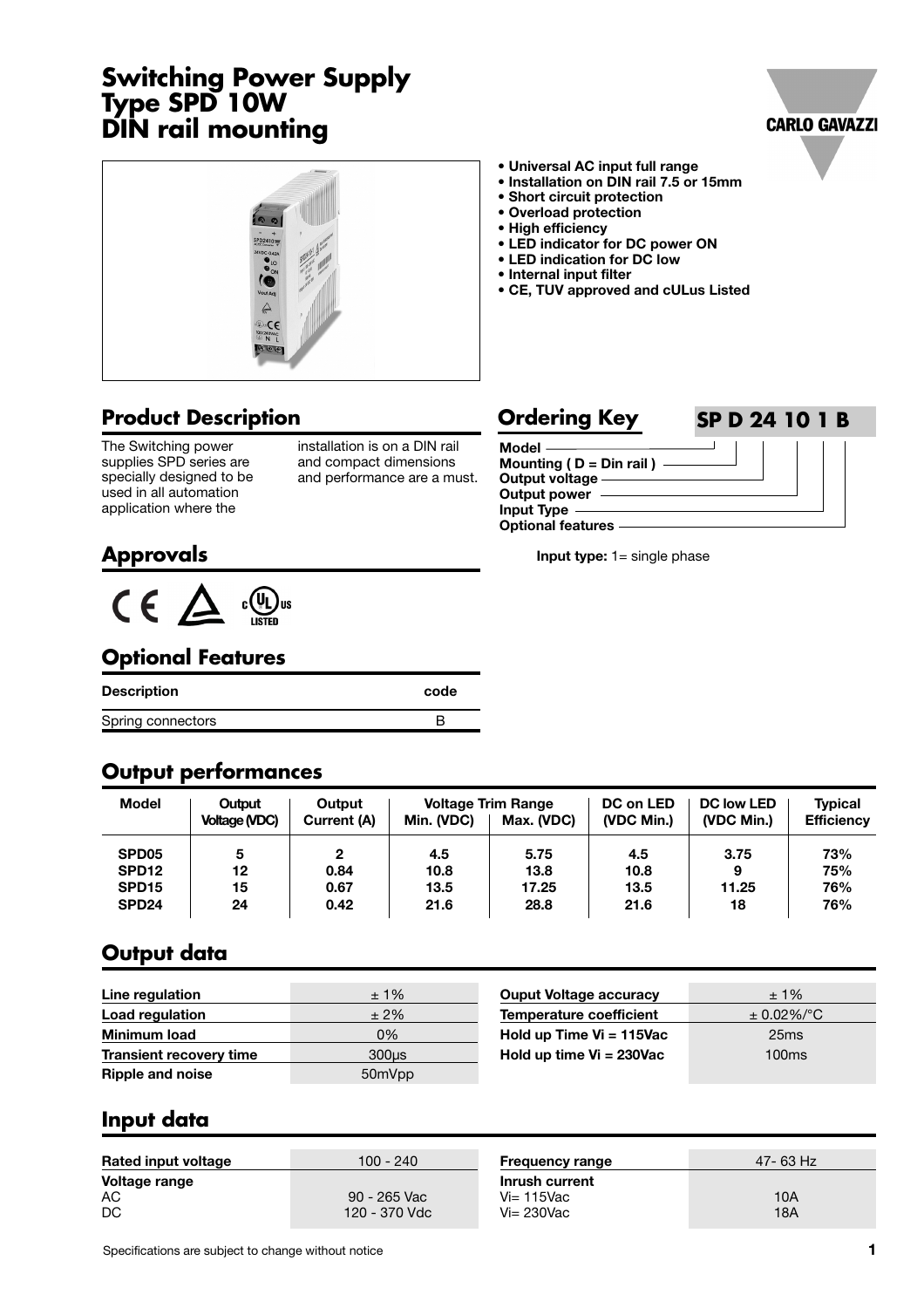# **Switching Power Supply Type SPD 10W DIN rail mounting**





### **Product Description**

The Switching power supplies SPD series are specially designed to be used in all automation application where the

installation is on a DIN rail and compact dimensions and performance are a must.

- **Universal AC input full range**
- **Installation on DIN rail 7.5 or 15mm**
- **Short circuit protection**
- **Overload protection**
- **High efficiency**
- **LED indicator for DC power ON**
- **LED indication for DC low • Internal input filter**
- **CE, TUV approved and cULus Listed**

**Input type:** 1= single phase

#### **Model Mounting ( D = Din rail ) Output voltage Output power Input Type Optional features Ordering Key SP D 24 10 1 B**

#### **Approvals**



#### **Optional Features**

| Description       | code |
|-------------------|------|
| Spring connectors |      |

#### **Output performances**

| Model             | Output<br><b>Voltage (VDC)</b> | Output<br>Current (A) | Min. (VDC) | <b>Voltage Trim Range</b><br>Max. (VDC) | DC on LED<br>(VDC Min.) | <b>DC low LED</b><br>(VDC Min.) | <b>Typical</b><br><b>Efficiency</b> |
|-------------------|--------------------------------|-----------------------|------------|-----------------------------------------|-------------------------|---------------------------------|-------------------------------------|
| SPD <sub>05</sub> | 5                              | ≏                     | 4.5        | 5.75                                    | 4.5                     | 3.75                            | 73%                                 |
| SPD <sub>12</sub> | 12                             | 0.84                  | 10.8       | 13.8                                    | 10.8                    | 9                               | 75%                                 |
| SPD <sub>15</sub> | 15                             | 0.67                  | 13.5       | 17.25                                   | 13.5                    | 11.25                           | 76%                                 |
| SPD <sub>24</sub> | 24                             | 0.42                  | 21.6       | 28.8                                    | 21.6                    | 18                              | 76%                                 |

### **Output data**

| Line regulation                | $±1\%$            | <b>Ouput Voltage accuracy</b>  | $± 1\%$          |
|--------------------------------|-------------------|--------------------------------|------------------|
| Load regulation                | $±2\%$            | <b>Temperature coefficient</b> | $\pm$ 0.02%/°C   |
| <b>Minimum load</b>            | 0%                | Hold up Time $Vi = 115$ Vac    | 25 <sub>ms</sub> |
| <b>Transient recovery time</b> | 300 <sub>us</sub> | Hold up time $Vi = 230Vac$     | 100ms            |
| <b>Ripple and noise</b>        | 50mVpp            |                                |                  |

#### **Input data**

| <b>Rated input voltage</b> | 100 - 240                     | <b>Frequency range</b>                             | 47-63 Hz   |
|----------------------------|-------------------------------|----------------------------------------------------|------------|
| Voltage range<br>AC<br>DC  | 90 - 265 Vac<br>120 - 370 Vdc | Inrush current<br>$Vi = 115$ Vac<br>$Vi = 230$ Vac | 10A<br>18A |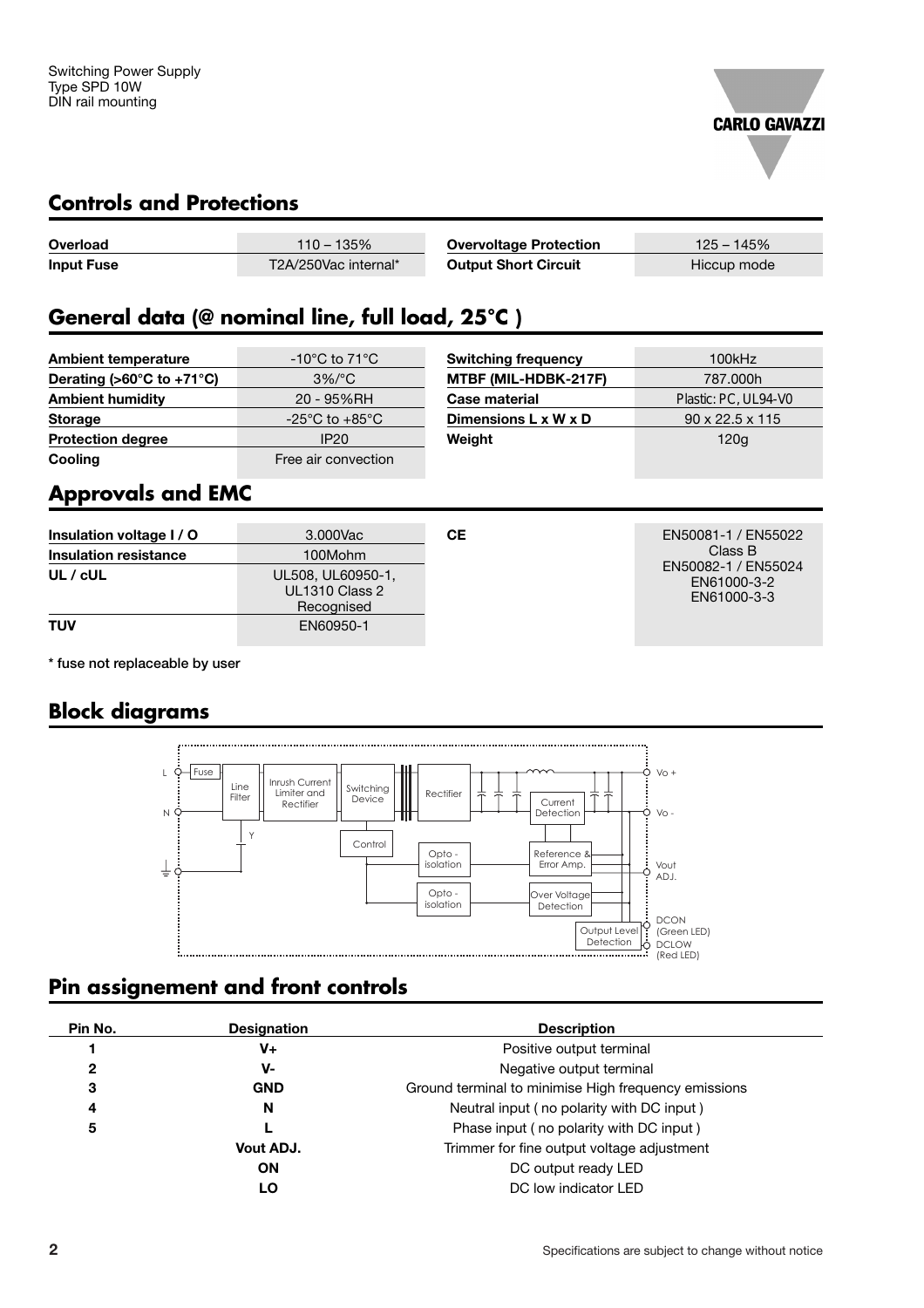

#### **Controls and Protections**

| Overload          | $110 - 135%$         | <b>Overvoltage Protection</b> | $125 - 145\%$ |
|-------------------|----------------------|-------------------------------|---------------|
| <b>Input Fuse</b> | T2A/250Vac internal* | <b>Output Short Circuit</b>   | Hiccup mode   |

# **General data (@ nominal line, full load, 25°C )**

| <b>Ambient temperature</b>                      | $-10^{\circ}$ C to 71 $^{\circ}$ C | Swit |
|-------------------------------------------------|------------------------------------|------|
| Derating ( $>60^{\circ}$ C to +71 $^{\circ}$ C) | $3\%/°C$                           | MTB  |
| <b>Ambient humidity</b>                         | 20 - 95%RH                         | Case |
| <b>Storage</b>                                  | $-25^{\circ}$ C to $+85^{\circ}$ C | Dime |
| <b>Protection degree</b>                        | <b>IP20</b>                        | Weig |
| Cooling                                         | Free air convection                |      |

| Switching frequency  | 100kHz                      |
|----------------------|-----------------------------|
| MTBF (MIL-HDBK-217F) | 787,000h                    |
| Case material        | Plastic: PC, UL94-V0        |
| Dimensions L x W x D | $90 \times 22.5 \times 115$ |
| Weight               | 120g                        |

# **Approvals and EMC**

| Insulation voltage I / O<br><b>Insulation resistance</b> | 3.000Vac<br>100Mohm                                      | CЕ | EN50081-1 / EN55022<br>Class B                    |
|----------------------------------------------------------|----------------------------------------------------------|----|---------------------------------------------------|
| $UL$ / $cUL$                                             | UL508, UL60950-1,<br><b>UL1310 Class 2</b><br>Recognised |    | EN50082-1 / EN55024<br>EN61000-3-2<br>EN61000-3-3 |
| <b>TUV</b>                                               | EN60950-1                                                |    |                                                   |

**\* fuse not replaceable by user**

### **Block diagrams**



# **Pin assignement and front controls**

| Pin No.      | <b>Designation</b> | <b>Description</b>                                   |
|--------------|--------------------|------------------------------------------------------|
|              | V+                 | Positive output terminal                             |
| $\mathbf{2}$ | v-                 | Negative output terminal                             |
| З            | <b>GND</b>         | Ground terminal to minimise High frequency emissions |
| 4            | N                  | Neutral input (no polarity with DC input)            |
| 5            |                    | Phase input (no polarity with DC input)              |
|              | Vout ADJ.          | Trimmer for fine output voltage adjustment           |
|              | <b>ON</b>          | DC output ready LED                                  |
|              | LO                 | DC low indicator LED                                 |